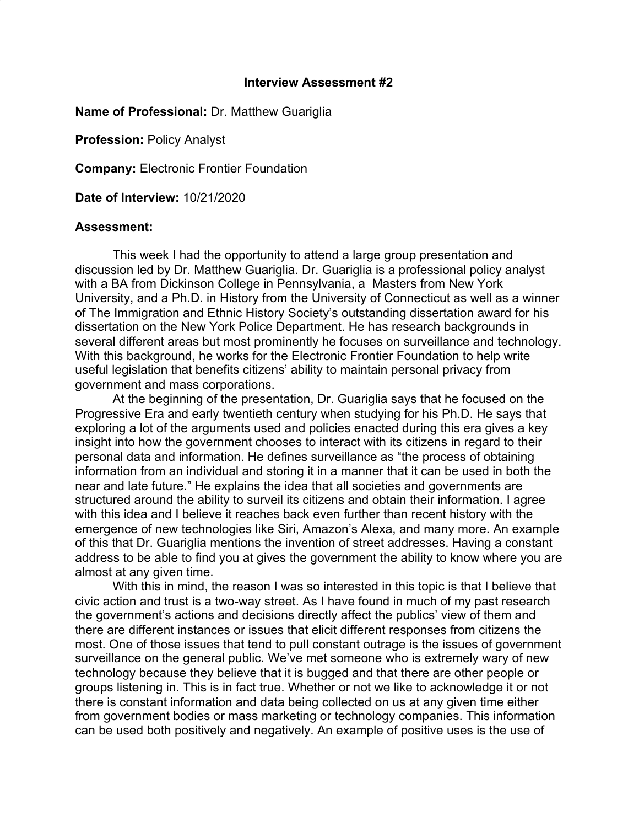## **Interview Assessment #2**

## **Name of Professional:** Dr. Matthew Guariglia

**Profession:** Policy Analyst

**Company:** Electronic Frontier Foundation

**Date of Interview:** 10/21/2020

## **Assessment:**

This week I had the opportunity to attend a large group presentation and discussion led by Dr. Matthew Guariglia. Dr. Guariglia is a professional policy analyst with a BA from Dickinson College in Pennsylvania, a Masters from New York University, and a Ph.D. in History from the University of Connecticut as well as a winner of The Immigration and Ethnic History Society's outstanding dissertation award for his dissertation on the New York Police Department. He has research backgrounds in several different areas but most prominently he focuses on surveillance and technology. With this background, he works for the Electronic Frontier Foundation to help write useful legislation that benefits citizens' ability to maintain personal privacy from government and mass corporations.

At the beginning of the presentation, Dr. Guariglia says that he focused on the Progressive Era and early twentieth century when studying for his Ph.D. He says that exploring a lot of the arguments used and policies enacted during this era gives a key insight into how the government chooses to interact with its citizens in regard to their personal data and information. He defines surveillance as "the process of obtaining information from an individual and storing it in a manner that it can be used in both the near and late future." He explains the idea that all societies and governments are structured around the ability to surveil its citizens and obtain their information. I agree with this idea and I believe it reaches back even further than recent history with the emergence of new technologies like Siri, Amazon's Alexa, and many more. An example of this that Dr. Guariglia mentions the invention of street addresses. Having a constant address to be able to find you at gives the government the ability to know where you are almost at any given time.

With this in mind, the reason I was so interested in this topic is that I believe that civic action and trust is a two-way street. As I have found in much of my past research the government's actions and decisions directly affect the publics' view of them and there are different instances or issues that elicit different responses from citizens the most. One of those issues that tend to pull constant outrage is the issues of government surveillance on the general public. We've met someone who is extremely wary of new technology because they believe that it is bugged and that there are other people or groups listening in. This is in fact true. Whether or not we like to acknowledge it or not there is constant information and data being collected on us at any given time either from government bodies or mass marketing or technology companies. This information can be used both positively and negatively. An example of positive uses is the use of